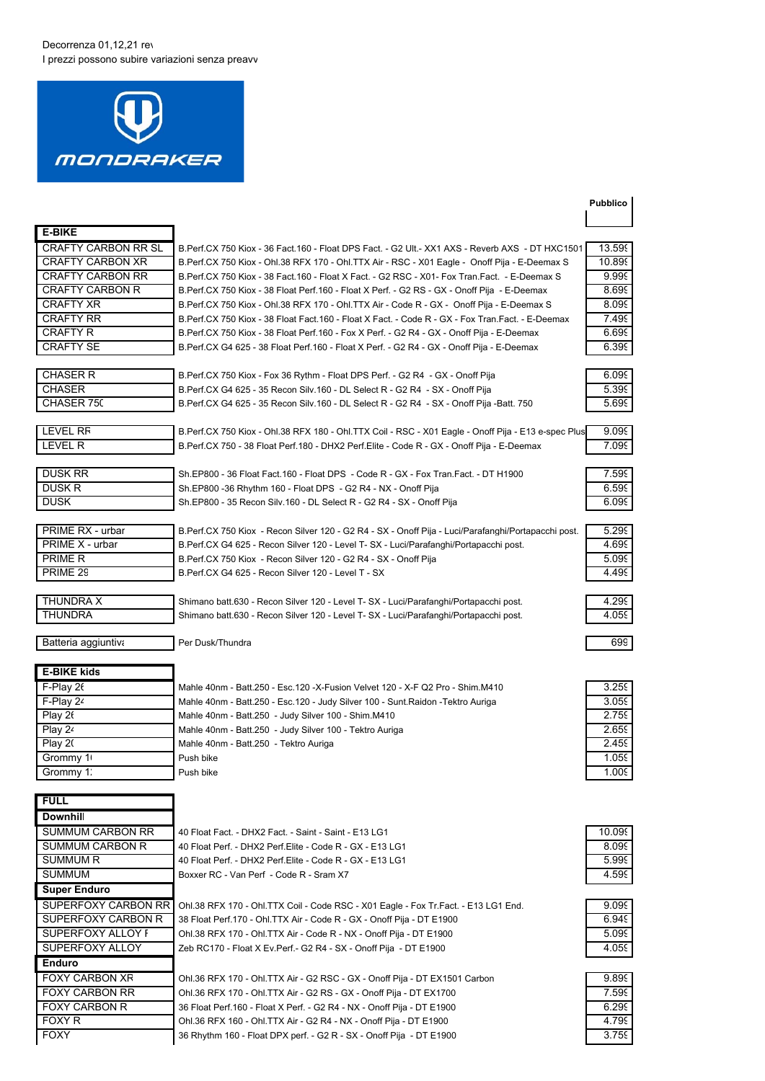## Decorrenza 01,12,21 rev I prezzi possono subire variazioni senza preavv



## **Pubblico**

| <b>E-BIKE</b>              |           |
|----------------------------|-----------|
| <b>CRAFTY CARBON RR SL</b> | $B$ $P_f$ |
| <b>CRAFTY CARBON XR</b>    | B.P6      |
| <b>CRAFTY CARBON RR</b>    | B.P6      |
| <b>CRAFTY CARBON R</b>     | B.P6      |
| <b>CRAFTY XR</b>           | B.P6      |
| <b>CRAFTY RR</b>           | B.P6      |
| <b>CRAFTY R</b>            | B.P6      |
| <b>CRAFTY SE</b>           | B.P6      |

erf.CX 750 Kiox - 36 Fact.160 - Float DPS Fact. - G2 Ult.- XX1 AXS - Reverb AXS  $\,$  - DT HXC1501  $\,$   $\,$  13.59 $\,$ erf.CX 750 Kiox - Ohl.38 RFX 170 - Ohl.TTX Air - RSC - X01 Eagle - Onoff Pija - E-Deemax S  $\;$   $\;$   $\;$  10.899 CRAFTY CARBON RR B.Perf.CX 750 Kiox - 38 Fact.160 - Float X Fact. - G2 RSC - X01- Fox Tran.Fact. - E-Deemax S 9.999 erf.CX 750 Kiox - 38 Float Perf.160 - Float X Perf. - G2 RS - GX - Onoff Pija - E-Deemax erf.CX 750 Kiox - Ohl.38 RFX 170 - Ohl.TTX Air - Code R - GX - Onoff Pija - E-Deemax S erf.CX 750 Kiox - 38 Float Fact.160 - Float X Fact. - Code R - GX - Fox Tran.Fact. - E-Deemax erf.CX 750 Kiox - 38 Float Perf.160 - Fox X Perf. - G2 R4 - GX - Onoff Pija - E-Deemax erf.CX G4 625 - 38 Float Perf.160 - Float X Perf. - G2 R4 - GX - Onoff Pija - E-Deemax

| I FVFI RR |  |
|-----------|--|
| IFVEL R   |  |

| <b>DUSK RR</b> |  |
|----------------|--|
| DUSK R         |  |
| DUSK           |  |

| PRIME RX - urbar |
|------------------|
| PRIME X - urbar  |
| <b>PRIME R</b>   |
| PRIME 29         |

B.Perf.CX G4 625 - 35 Recon Silv.160 - DL Select R - G2 R4 - SX - Onoff Pija -Batt. 750 B.Perf.CX 750 Kiox - Ohl.38 RFX 180 - Ohl.TTX Coil - RSC - X01 Eagle - Onoff Pija - E13 e-spec Plus 9.099

B.Perf.CX 750 Kiox - Fox 36 Rythm - Float DPS Perf. - G2 R4 - GX - Onoff Pija B.Perf.CX G4 625 - 35 Recon Silv.160 - DL Select R - G2 R4 - SX - Onoff Pija

Sh.EP800 - 36 Float Fact.160 - Float DPS - Code R - GX - Fox Tran.Fact. - DT H1900 Sh.EP800 -36 Rhythm 160 - Float DPS - G2 R4 - NX - Onoff Pija Sh.EP800 - 35 Recon Silv.160 - DL Select R - G2 R4 - SX - Onoff Pija

B.Perf.CX 750 Kiox - Recon Silver 120 - G2 R4 - SX - Onoff Pija - Luci/Parafanghi/Portapacchi post. B.Perf.CX G4 625 - Recon Silver 120 - Level T- SX - Luci/Parafanghi/Portapacchi post. B.Perf.CX 750 Kiox - Recon Silver 120 - G2 R4 - SX - Onoff Pija B.Perf.CX G4 625 - Recon Silver 120 - Level T - SX

B.Perf.CX 750 - 38 Float Perf.180 - DHX2 Perf.Elite - Code R - GX - Onoff Pija - E-Deemax 7.099

THUNDRA X Shimano batt.630 - Recon Silver 120 - Level T- SX - Luci/Parafanghi/Portapacchi post. THUNDRA Shimano batt.630 - Recon Silver 120 - Level T- SX - Luci/Parafanghi/Portapacchi post.

Batteria aggiuntiva Per Dusk/Thundra

| <b>E-BIKE kids</b> |                                                                                 |       |
|--------------------|---------------------------------------------------------------------------------|-------|
| F-Play 26          | Mahle 40nm - Batt.250 - Esc.120 -X-Fusion Velvet 120 - X-F Q2 Pro - Shim.M410   | 3.259 |
| F-Plav 24          | Mahle 40nm - Batt.250 - Esc.120 - Judy Silver 100 - Sunt.Raidon - Tektro Auriga | 3.059 |
| Play $26$          | Mahle 40nm - Batt.250 - Judy Silver 100 - Shim.M410                             | 2.759 |
| Play $24$          | Mahle 40nm - Batt.250 - Judy Silver 100 - Tektro Auriga                         | 2.659 |
| Play 20            | Mahle 40nm - Batt.250 - Tektro Auriga                                           | 2.459 |
| Grommy 1           | Push bike                                                                       | 1.059 |
| Grommy 1:          | Push bike                                                                       | 1 009 |

| FULL                       |
|----------------------------|
| <b>Downhill</b>            |
| <b>SUMMUM CARBON RR</b>    |
| <b>SUMMUM CARBON R</b>     |
| <b>SUMMUM R</b>            |
| <b>SUMMUM</b>              |
| <b>Super Enduro</b>        |
| <b>SUPERFOXY CARBON RR</b> |
| SUPERFOXY CARBON R         |
| SUPERFOXY ALLOY F          |
| SUPERFOXY ALLOY            |
| Enduro                     |
| <b>FOXY CARBON XR</b>      |
| <b>FOXY CARBON RR</b>      |
| <b>FOXY CARBON R</b>       |
| FOXY R                     |
| FOXY                       |

| F-Play 26 | Mahle 40nm - Batt.250 - Esc.120 - X-Fusion Velvet 120 - X-F Q2 Pro - Shim.M410   | 3.259 |
|-----------|----------------------------------------------------------------------------------|-------|
| F-Play 24 | Mahle 40nm - Batt.250 - Esc.120 - Judy Silver 100 - Sunt. Raidon - Tektro Auriga | 3.059 |
| Play 26   | Mahle 40nm - Batt.250 - Judy Silver 100 - Shim.M410                              | 2.759 |
| Play 24   | Mahle 40nm - Batt.250 - Judy Silver 100 - Tektro Auriga                          | 2.659 |
| Play20    | Mahle 40nm - Batt.250 - Tektro Auriga                                            | 2.459 |
| Grommv 1  | Push bike                                                                        | 1.059 |
|           | - - - -                                                                          | 1.000 |

| 0.099       |
|-------------|
| 8.099       |
| 999<br>5    |
| c<br>ρ<br>5 |

| 9.099 |
|-------|
| 6.949 |
| 5.099 |
| 4.059 |
|       |

| 9.899 |
|-------|
| 7.599 |
| 6.299 |
| 4.799 |
| 3.759 |
|       |

40 Float Fact. - DHX2 Fact. - Saint - Saint - E13 LG1 40 Float Perf. - DHX2 Perf. Elite - Code R - GX - E13 LG1 40 Float Perf. - DHX2 Perf. Elite - Code R - GX - E13 LG1 Boxxer RC - Van Perf - Code R - Sram X7

Ohl.38 RFX 170 - Ohl.TTX Coil - Code RSC - X01 Eagle - Fox Tr.Fact. - E13 LG1 End. 38 Float Perf.170 - Ohl.TTX Air - Code R - GX - Onoff Pija - DT E1900 Ohl.38 RFX 170 - Ohl.TTX Air - Code R - NX - Onoff Pija - DT E1900 Zeb RC170 - Float X Ev.Perf.- G2 R4 - SX - Onoff Pija - DT E1900

Ohl.36 RFX 170 - Ohl.TTX Air - G2 RSC - GX - Onoff Pija - DT EX1501 Carbon Ohl.36 RFX 170 - Ohl.TTX Air - G2 RS - GX - Onoff Pija - DT EX1700 36 Float Perf.160 - Float X Perf. - G2 R4 - NX - Onoff Pija - DT E1900 Ohl.36 RFX 160 - Ohl.TTX Air - G2 R4 - NX - Onoff Pija - DT E1900 36 Rhythm 160 - Float DPX perf. - G2 R - SX - Onoff Pija - DT E1900

| 8.DY. |
|-------|
| 8.095 |
| 7.499 |
| 6.699 |
| 6.399 |
|       |
| 6.099 |
|       |

| 6.099<br>I |
|------------|
| 5.399      |
| I<br>5.699 |
|            |

| 7.599 |
|-------|
| 6.599 |
| 6.099 |
|       |
|       |

| 5 29<br>JΣ |
|------------|
| 4.699      |
| 5.099      |
| .499       |
|            |

| 3.259 |  |
|-------|--|
| 3.059 |  |
| 2759  |  |
| 2.65  |  |
| 2.459 |  |
| 5۶.   |  |
| n٤    |  |

| 10.099          |
|-----------------|
| ١Ć<br>8.09      |
| ۱Ć<br>.99<br>5' |
| t<br>.59<br>4   |
|                 |